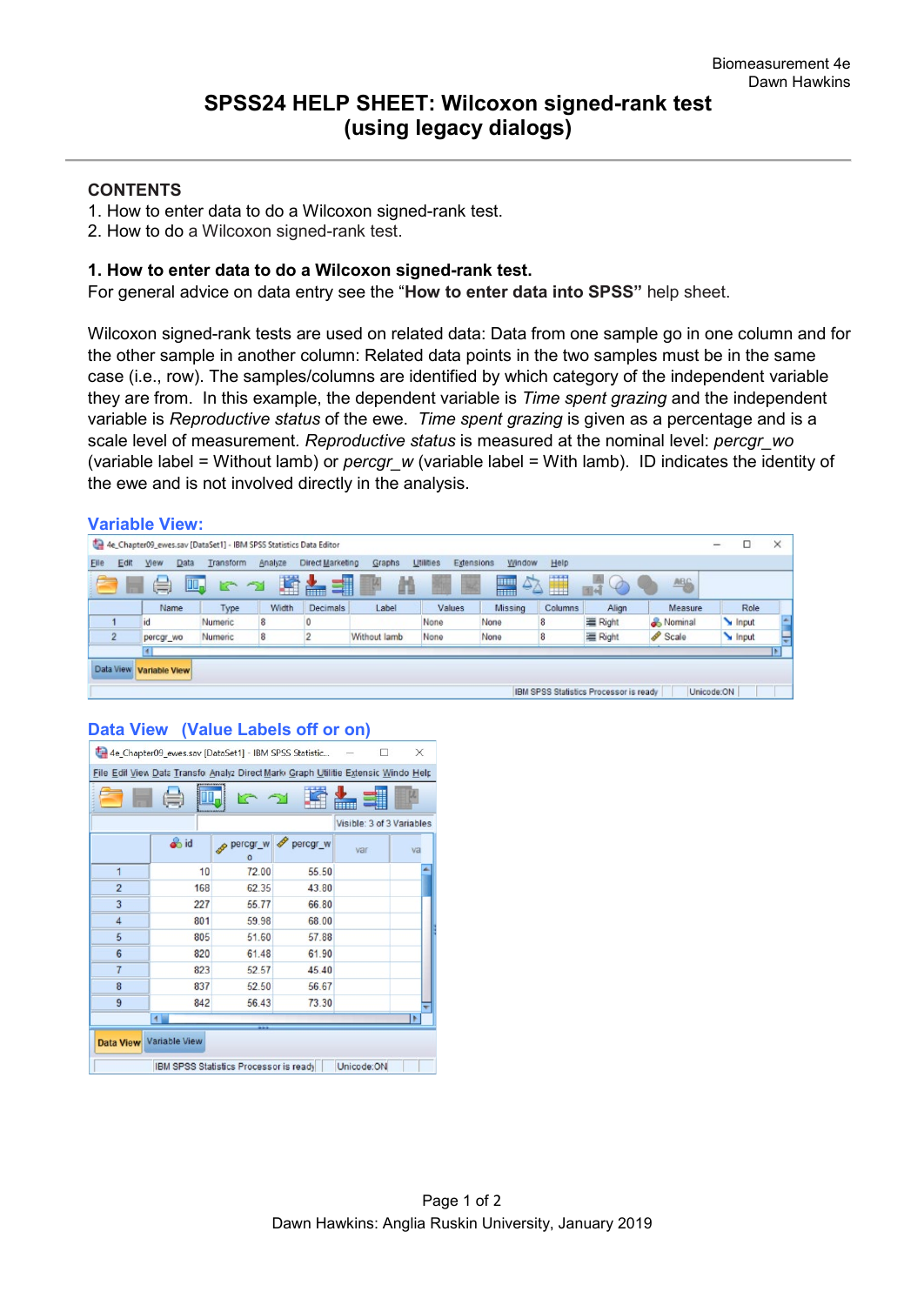# **SPSS24 HELP SHEET: Wilcoxon signed-rank test (using legacy dialogs)**

# **CONTENTS**

- 1. How to enter data to do a Wilcoxon signed-rank test.
- 2. How to do a Wilcoxon signed-rank test.

## **1. How to enter data to do a Wilcoxon signed-rank test.**

For general advice on data entry see the "**How to enter data into SPSS"** help sheet.

Wilcoxon signed-rank tests are used on related data: Data from one sample go in one column and for the other sample in another column: Related data points in the two samples must be in the same case (i.e., row). The samples/columns are identified by which category of the independent variable they are from. In this example, the dependent variable is *Time spent grazing* and the independent variable is *Reproductive status* of the ewe. *Time spent grazing* is given as a percentage and is a scale level of measurement*. Reproductive status* is measured at the nominal level: *percgr\_wo* (variable label = Without lamb) or *percgr\_w* (variable label = With lamb). ID indicates the identity of the ewe and is not involved directly in the analysis.

|                                                                |      | <b>Variable View:</b> |                                                                    |         |                  |              |                         |         |         |                                        |           |            |          |
|----------------------------------------------------------------|------|-----------------------|--------------------------------------------------------------------|---------|------------------|--------------|-------------------------|---------|---------|----------------------------------------|-----------|------------|----------|
|                                                                |      |                       | 4e_Chapter09_ewes.sav [DataSet1] - IBM SPSS Statistics Data Editor |         |                  |              |                         |         |         |                                        |           | □<br>-     | $\times$ |
| Elle                                                           | Edit | Data<br><b>View</b>   | Transform                                                          | Analyze | Direct Marketing | Graphs       | Utilities<br>Extensions | Window  | Help    |                                        |           |            |          |
| H<br>圍<br>51<br>m<br>$\Delta$<br>鼺<br>ABG<br>Щ.<br>Ħ<br>G<br>н |      |                       |                                                                    |         |                  |              |                         |         |         |                                        |           |            |          |
|                                                                |      | Name                  | Type                                                               | Width   | Decimals         | Label        | Values                  | Missing | Columns | Align                                  | Measure   | Role       |          |
|                                                                |      | id                    | Numeric                                                            | 8       |                  |              | None                    | None    | 8       | 三 Right                                | & Nominal | Input      |          |
|                                                                |      | percgr wo             | Numeric                                                            | 8       |                  | Without lamb | None                    | None    | 8       | 三 Right                                | Scale     | Input      |          |
|                                                                |      | м                     |                                                                    |         |                  |              |                         |         |         |                                        |           |            |          |
| Data View                                                      |      | <b>Variable View</b>  |                                                                    |         |                  |              |                         |         |         |                                        |           |            |          |
|                                                                |      |                       |                                                                    |         |                  |              |                         |         |         |                                        |           |            |          |
|                                                                |      |                       |                                                                    |         |                  |              |                         |         |         | IBM SPSS Statistics Processor is ready |           | Unicode:ON |          |

#### **Data View (Value Labels off or on)**

| 4e_Chapter09_ewes.sav [DataSet1] - IBM SPSS Statistic<br>×                        |      |         |                   |     |    |  |  |  |  |  |
|-----------------------------------------------------------------------------------|------|---------|-------------------|-----|----|--|--|--|--|--|
| File Edil View Data Transfo Analyz Direct Mark Graph Utilitie Extensic Windo Help |      |         |                   |     |    |  |  |  |  |  |
|                                                                                   |      |         |                   |     |    |  |  |  |  |  |
| Visible: 3 of 3 Variables                                                         |      |         |                   |     |    |  |  |  |  |  |
|                                                                                   | o id | $\circ$ | percgr_w Percgr_w | var | va |  |  |  |  |  |
| $\overline{1}$                                                                    | 10   | 72.00   | 55.50             |     |    |  |  |  |  |  |
| $\overline{2}$                                                                    | 168  | 62.35   | 43.80             |     |    |  |  |  |  |  |
| 3                                                                                 | 227  | 55.77   | 66.80             |     |    |  |  |  |  |  |
| $\overline{4}$                                                                    | 801  | 59.98   | 68.00             |     |    |  |  |  |  |  |
| 5                                                                                 | 805  | 51.60   | 57.88             |     |    |  |  |  |  |  |
| 6                                                                                 | 820  | 61.48   | 61.90             |     |    |  |  |  |  |  |
| $\overline{7}$                                                                    | 823  | 52.57   | 45.40             |     |    |  |  |  |  |  |
| 8                                                                                 | 837  | 52.50   | 56.67             |     |    |  |  |  |  |  |
| 9                                                                                 | 842  | 56.43   | 73.30             |     |    |  |  |  |  |  |
| 41<br>٠                                                                           |      |         |                   |     |    |  |  |  |  |  |
| Data View Variable View                                                           |      |         |                   |     |    |  |  |  |  |  |
| Unicode:ON<br>IBM SPSS Statistics Processor is ready                              |      |         |                   |     |    |  |  |  |  |  |